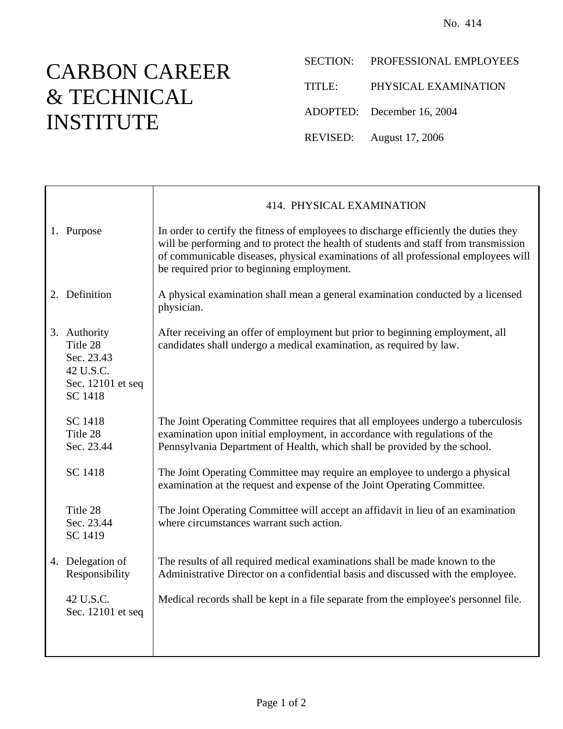## CARBON CAREER & TECHNICAL INSTITUTE

- SECTION: PROFESSIONAL EMPLOYEES
- TITLE: PHYSICAL EXAMINATION
- ADOPTED: December 16, 2004
- REVISED: August 17, 2006

|                                                                                     | 414. PHYSICAL EXAMINATION                                                                                                                                                                                                                                                                                         |
|-------------------------------------------------------------------------------------|-------------------------------------------------------------------------------------------------------------------------------------------------------------------------------------------------------------------------------------------------------------------------------------------------------------------|
| 1. Purpose                                                                          | In order to certify the fitness of employees to discharge efficiently the duties they<br>will be performing and to protect the health of students and staff from transmission<br>of communicable diseases, physical examinations of all professional employees will<br>be required prior to beginning employment. |
| 2. Definition                                                                       | A physical examination shall mean a general examination conducted by a licensed<br>physician.                                                                                                                                                                                                                     |
| 3. Authority<br>Title 28<br>Sec. 23.43<br>42 U.S.C.<br>Sec. 12101 et seq<br>SC 1418 | After receiving an offer of employment but prior to beginning employment, all<br>candidates shall undergo a medical examination, as required by law.                                                                                                                                                              |
| SC 1418<br>Title 28<br>Sec. 23.44                                                   | The Joint Operating Committee requires that all employees undergo a tuberculosis<br>examination upon initial employment, in accordance with regulations of the<br>Pennsylvania Department of Health, which shall be provided by the school.                                                                       |
| <b>SC 1418</b>                                                                      | The Joint Operating Committee may require an employee to undergo a physical<br>examination at the request and expense of the Joint Operating Committee.                                                                                                                                                           |
| Title 28<br>Sec. 23.44<br>SC 1419                                                   | The Joint Operating Committee will accept an affidavit in lieu of an examination<br>where circumstances warrant such action.                                                                                                                                                                                      |
| 4. Delegation of<br>Responsibility                                                  | The results of all required medical examinations shall be made known to the<br>Administrative Director on a confidential basis and discussed with the employee.                                                                                                                                                   |
| 42 U.S.C.<br>Sec. 12101 et seq                                                      | Medical records shall be kept in a file separate from the employee's personnel file.                                                                                                                                                                                                                              |
|                                                                                     |                                                                                                                                                                                                                                                                                                                   |